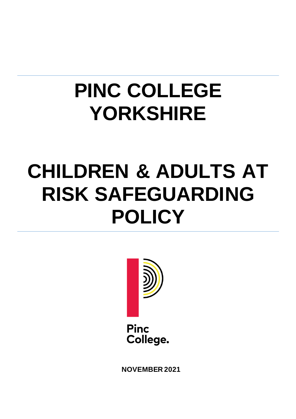# **PINC COLLEGE YORKSHIRE**

# **CHILDREN & ADULTS AT RISK SAFEGUARDING POLICY**



**Pinc** College.

**NOVEMBER 2021**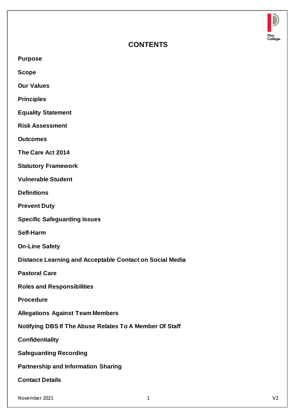

# **CONTENTS**

**Purpose**

**Scope**

**Our Values**

**Principles**

**Equality Statement**

**Risk Assessment**

**Outcomes**

**The Care Act 2014**

**Statutory Framework**

**Vulnerable Student**

**Definitions**

**Prevent Duty**

**Specific Safeguarding Issues**

**Self-Harm**

**On-Line Safety**

**Distance Learning and Acceptable Contact on Social Media**

**Pastoral Care**

**Roles and Responsibilities**

**Procedure**

**Allegations Against Team Members**

**Notifying DBS If The Abuse Relates To A Member Of Staff**

**Confidentiality**

**Safeguarding Recording**

**Partnership and Information Sharing**

**Contact Details**

November 2021 1 V2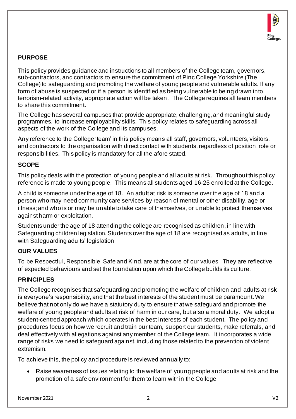

# **PURPOSE**

This policy provides guidance and instructions to all members of the College team, governors, sub-contractors, and contractors to ensure the commitment of Pinc College Yorkshire (The College) to safeguarding and promoting the welfare of young people and vulnerable adults. If any form of abuse is suspected or if a person is identified as being vulnerable to being drawn into terrorism-related activity, appropriate action will be taken. The College requires all team members to share this commitment.

The College has several campuses that provide appropriate, challenging, and meaningful study programmes, to increase employability skills. This policy relates to safeguarding across all aspects of the work of the College and its campuses.

Any reference to the College 'team' in this policy means all staff, governors, volunteers, visitors, and contractors to the organisation with direct contact with students, regardless of position, role or responsibilities. This policy is mandatory for all the afore stated.

# **SCOPE**

This policy deals with the protection of young people and all adults at risk. Throughout this policy reference is made to young people. This means all students aged 16-25 enrolled at the College.

A child is someone under the age of 18. An adult at risk is someone over the age of 18 and a person who may need community care services by reason of mental or other disability, age or illness; and who is or may be unable to take care of themselves, or unable to protect themselves against harm or exploitation.

Students under the age of 18 attending the college are recognised as children, in line with Safeguarding children legislation. Students over the age of 18 are recognised as adults, in line with Safeguarding adults' legislation

# **OUR VALUES**

To be Respectful, Responsible, Safe and Kind, are at the core of our values. They are reflective of expected behaviours and set the foundation upon which the College builds its culture.

# **PRINCIPLES**

The College recognises that safeguarding and promoting the welfare of children and adults at risk is everyone's responsibility, and that the best interests of the student must be paramount. We believe that not only do we have a statutory duty to ensure that we safeguard and promote the welfare of young people and adults at risk of harm in our care, but also a moral duty. We adopt a student-centred approach which operates in the best interests of each student. The policy and procedures focus on how we recruit and train our team, support our students, make referrals, and deal effectively with allegations against any member of the College team. It incorporates a wide range of risks we need to safeguard against, including those related to the prevention of violent extremism.

To achieve this, the policy and procedure is reviewed annually to:

• Raise awareness of issues relating to the welfare of young people and adults at risk and the promotion of a safe environment for them to learn within the College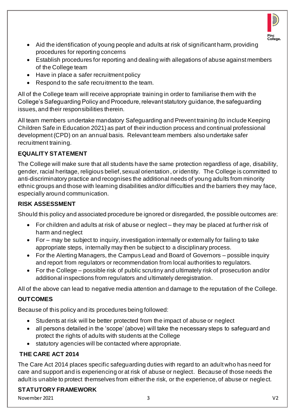

- Aid the identification of young people and adults at risk of significant harm, providing procedures for reporting concerns
- Establish procedures for reporting and dealing with allegations of abuse against members of the College team
- Have in place a safer recruitment policy
- Respond to the safe recruitment to the team.

All of the College team will receive appropriate training in order to familiarise them with the College's Safeguarding Policy and Procedure, relevant statutory guidance, the safeguarding issues, and their responsibilities therein.

All team members undertake mandatory Safeguarding and Prevent training (to include Keeping Children Safe in Education 2021) as part of their induction process and continual professional development (CPD) on an annual basis. Relevant team members also undertake safer recruitment training.

# **EQUALITY STATEMENT**

The College will make sure that all students have the same protection regardless of age, disability, gender, racial heritage, religious belief, sexual orientation, or identity. The College is committed to anti-discriminatory practice and recognises the additional needs of young adults from minority ethnic groups and those with learning disabilities and/or difficulties and the barriers they may face, especially around communication.

# **RISK ASSESSMENT**

Should this policy and associated procedure be ignored or disregarded, the possible outcomes are:

- For children and adults at risk of abuse or neglect they may be placed at further risk of harm and neglect
- For may be subject to inquiry, investigation internally or externally for failing to take appropriate steps, internally may then be subject to a disciplinary process.
- For the Alerting Managers, the Campus Lead and Board of Governors possible inquiry and report from regulators or recommendation from local authorities to regulators.
- For the College possible risk of public scrutiny and ultimately risk of prosecution and/or additional inspections from regulators and ultimately deregistration.

All of the above can lead to negative media attention and damage to the reputation of the College.

# **OUTCOMES**

Because of this policy and its procedures being followed:

- Students at risk will be better protected from the impact of abuse or neglect
- all persons detailed in the 'scope' (above) will take the necessary steps to safeguard and protect the rights of adults with students at the College
- statutory agencies will be contacted where appropriate.

# **THE CARE ACT 2014**

The Care Act 2014 places specific safeguarding duties with regard to an adult who has need for care and support and is experiencing or at risk of abuse or neglect. Because of those needs the adult is unable to protect themselves from either the risk, or the experience, of abuse or neglect.

# **STATUTORY FRAMEWORK**

November 2021 3 V2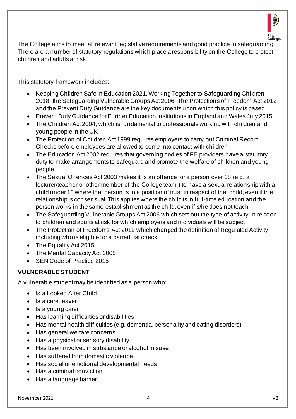

The College aims to meet all relevant legislative requirements and good practice in safeguarding. There are a number of statutory regulations which place a responsibility on the College to protect children and adults at risk.

This statutory framework includes:

- Keeping Children Safe in Education 2021, Working Together to Safeguarding Children 2018, the Safeguarding Vulnerable Groups Act 2006, The Protections of Freedom Act 2012 and the Prevent Duty Guidance are the key documents upon which this policy is based
- Prevent Duty Guidance for Further Education Institutions in England and Wales July 2015
- The Children Act 2004, which is fundamental to professionals working with children and young people in the UK
- The Protection of Children Act 1999 requires employers to carry out Criminal Record Checks before employees are allowed to come into contact with children
- The Education Act 2002 requires that governing bodies of FE providers have a statutory duty to make arrangements to safeguard and promote the welfare of children and young people
- The Sexual Offences Act 2003 makes it is an offence for a person over 18 (e.g. a lecturer/teacher or other member of the College team ) to have a sexual relationship with a child under 18 where that person is in a position of trust in respect of that child, even if th e relationship is consensual. This applies where the child is in full-time education and the person works in the same establishment as the child, even if s/he does not teach
- The Safeguarding Vulnerable Groups Act 2006 which sets out the type of activity in relation to children and adults at risk for which employers and individuals will be subject
- The Protection of Freedoms Act 2012 which changed the definition of Regulated Activity including who is eligible for a barred list check
- The Equality Act 2015
- The Mental Capacity Act 2005
- SEN Code of Practice 2015

# **VULNERABLE STUDENT**

A vulnerable student may be identified as a person who:

- Is a Looked After Child
- Is a care leaver
- Is a young carer
- Has learning difficulties or disabilities
- Has mental health difficulties (e.g. dementia, personality and eating disorders)
- Has general welfare concerns
- Has a physical or sensory disability
- Has been involved in substance or alcohol misuse
- Has suffered from domestic violence
- Has social or emotional developmental needs
- Has a criminal conviction
- Has a language barrier.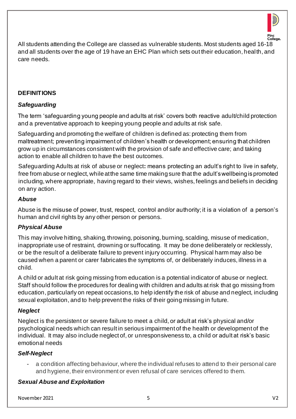

All students attending the College are classed as vulnerable students. Most students aged 16-18 and all students over the age of 19 have an EHC Plan which sets out their education, health, and care needs.

#### **DEFINITIONS**

#### *Safeguarding*

The term 'safeguarding young people and adults at risk' covers both reactive adult/child protection and a preventative approach to keeping young people and adults at risk safe.

Safeguarding and promoting the welfare of children is defined as: protecting them from maltreatment; preventing impairment of children's health or development; ensuring that children grow up in circumstances consistent with the provision of safe and effective care; and taking action to enable all children to have the best outcomes.

Safeguarding Adults at risk of abuse or neglect**:** means protecting an adult's right to live in safety, free from abuse or neglect, while at the same time making sure that the adult's wellbeing is promoted including, where appropriate, having regard to their views, wishes, feelings and beliefs in deciding on any action.

#### *Abuse*

Abuse is the misuse of power, trust, respect, control and/or authority; it is a violation of a person's human and civil rights by any other person or persons.

# *Physical Abuse*

This may involve hitting, shaking, throwing, poisoning, burning, scalding, misuse of medication, inappropriate use of restraint, drowning or suffocating. It may be done deliberately or recklessly, or be the result of a deliberate failure to prevent injury occurring. Physical harm may also be caused when a parent or carer fabricates the symptoms of, or deliberately induces, illness in a child.

A child or adult at risk going missing from education is a potential indicator of abuse or neglect. Staff should follow the procedures for dealing with children and adults at risk that go missing from education, particularly on repeat occasions, to help identify the risk of abuse and neglect, including sexual exploitation, and to help prevent the risks of their going missing in future.

# *Neglect*

Neglect is the persistent or severe failure to meet a child, or adult at risk's physical and/or psychological needs which can result in serious impairment of the health or development of the individual. It may also include neglect of, or unresponsiveness to, a child or adult at risk's basic emotional needs

# *Self-Neglect*

a condition affecting behaviour, where the individual refuses to attend to their personal care and hygiene, their environment or even refusal of care services offered to them.

# *Sexual Abuse and Exploitation*

November 2021 5 V2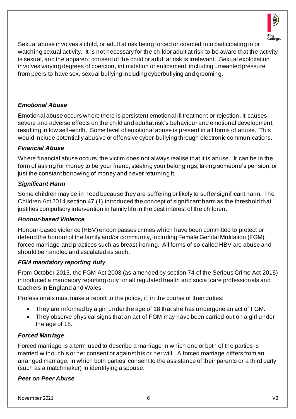

Sexual abuse involves a child, or adult at risk being forced or coerced into participating in or watching sexual activity. It is not necessary for the childor adult at risk to be aware that the activity is sexual, and the apparent consent of the child or adult at risk is irrelevant. Sexual exploitation involves varying degrees of coercion, intimidation or enticement, including unwanted pressure from peers to have sex, sexual bullying including cyberbullying and grooming.

# *Emotional Abuse*

Emotional abuse occurs where there is persistent emotional ill treatment or rejection. It causes severe and adverse effects on the child and adultat risk's behaviour and emotional development, resulting in low self-worth. Some level of emotional abuse is present in all forms of abuse. This would include potentially abusive or offensive cyber-bullying through electronic communications.

# *Financial Abuse*

Where financial abuse occurs, the victim does not always realise that it is abuse. It can be in the form of asking for money to be your friend, stealing your belongings, taking someone's pension, or just the constant borrowing of money and never returning it.

# *Significant Harm*

Some children may be in need because they are suffering or likely to suffer significant harm. The Children Act 2014 section 47 (1) introduced the concept of significant harm as the threshold that justifies compulsory intervention in family life in the best interest of the children.

# *Honour-based Violence*

Honour-based violence (HBV) encompasses crimes which have been committed to protect or defend the honour of the family and/or community, including Female Genital Mutilation (FGM), forced marriage and practices such as breast ironing. All forms of so-called HBV are abuse and should be handled and escalated as such.

# *FGM mandatory reporting duty*

From October 2015, the FGM Act 2003 (as amended by section 74 of the Serious Crime Act 2015) introduced a mandatory reporting duty for all regulated health and social care professionals and teachers in England and Wales.

Professionals must make a report to the police, if, in the course of their duties:

- They are informed by a girl under the age of 18 that she has undergone an act of FGM.
- They observe physical signs that an act of FGM may have been carried out on a girl under the age of 18.

# *Forced Marriage*

Forced marriage is a term used to describe a marriage in which one or both of the parties is married without his or her consent or against his or her will. A forced marriage differs from an arranged marriage, in which both parties' consent to the assistance of their parents or a third party (such as a matchmaker) in identifying a spouse.

# *Peer on Peer Abuse*

November 2021 6 V2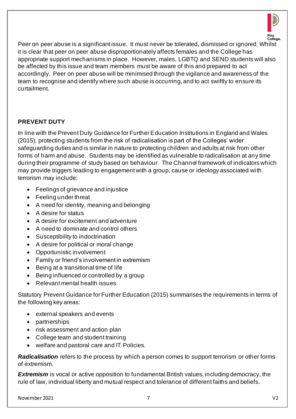

Peer on peer abuse is a significant issue. It must never be tolerated, dismissed or ignored. Whilst it is clear that peer on peer abuse disproportionately affects females and the College has appropriate support mechanisms in place. However, males, LGBTQ and SEND students will also be affected by this issue and team members must be aware of this and prepared to act accordingly. Peer on peer abuse will be minimised through the vigilance and awareness of the team to recognise and identify where such abuse is occurring, and to act swiftly to ensure its curtailment.

#### **PREVENT DUTY**

In line with the Prevent Duty Guidance for Further Education Institutions in England and Wales (2015), protecting students from the risk of radicalisation is part of the Colleges' wider safeguarding duties and is similar in nature to protecting children and adults at risk from other forms of harm and abuse. Students may be identified as vulnerable to radicalisation at any time during their programme of study based on behaviour. The Channel framework of indicators which may provide triggers leading to engagement with a group, cause or ideology associated with terrorism may include:

- Feelings of grievance and injustice
- Feeling under threat
- A need for identity, meaning and belonging
- A desire for status
- A desire for excitement and adventure
- A need to dominate and control others
- Susceptibility to indoctrination
- A desire for political or moral change
- Opportunistic involvement
- Family or friend's involvement in extremism
- Being at a transitional time of life
- Being influenced or controlled by a group
- Relevant mental health issues

Statutory Prevent Guidance for Further Education (2015) summarises the requirements in terms of the following key areas:

- external speakers and events
- partnerships
- risk assessment and action plan
- College team and student training
- welfare and pastoral care and IT Policies.

*Radicalisation* refers to the process by which a person comes to support terrorism or other forms of extremism.

**Extremism** is vocal or active opposition to fundamental British values, including democracy, the rule of law, individual liberty and mutual respect and tolerance of different faiths and beliefs.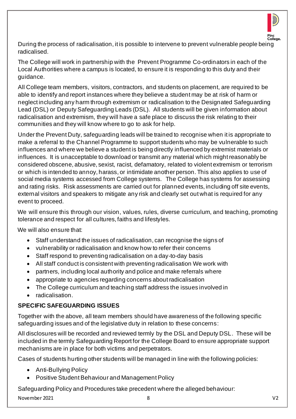

During the process of radicalisation, it is possible to intervene to prevent vulnerable people being radicalised.

The College will work in partnership with the Prevent Programme Co-ordinators in each of the Local Authorities where a campus is located, to ensure it is responding to this duty and their guidance.

All College team members, visitors, contractors, and students on placement, are required to be able to identify and report instances where they believe a student may be at risk of harm or neglect including any harm through extremism or radicalisation to the Designated Safeguarding Lead (DSL) or Deputy Safeguarding Leads (DSL). All students will be given information about radicalisation and extremism, they will have a safe place to discuss the risk relating to their communities and they will know where to go to ask for help.

Under the Prevent Duty, safeguarding leads will be trained to recognise when it is appropriate to make a referral to the Channel Programme to support students who may be vulnerable to such influences and where we believe a student is being directly influenced by extremist materials or influences. It is unacceptable to download or transmit any material which might reasonably be considered obscene, abusive, sexist, racist, defamatory, related to violent extremism or terrorism or which is intended to annoy, harass, or intimidate another person. This also applies to use of social media systems accessed from College systems. The College has systems for assessing and rating risks. Risk assessments are carried out for planned events, including off site events, external visitors and speakers to mitigate any risk and clearly set out what is required for any event to proceed.

We will ensure this through our vision, values, rules, diverse curriculum, and teaching, promoting tolerance and respect for all cultures, faiths and lifestyles.

We will also ensure that:

- Staff understand the issues of radicalisation, can recognise the signs of
- vulnerability or radicalisation and know how to refer their concerns
- Staff respond to preventing radicalisation on a day-to-day basis
- All staff conduct is consistent with preventing radicalisation We work with
- partners, including local authority and police and make referrals where
- appropriate to agencies regarding concerns about radicalisation
- The College curriculum and teaching staff address the issues involved in
- radicalisation.

# **SPECIFIC SAFEGUARDING ISSUES**

Together with the above, all team members should have awareness of the following specific safeguarding issues and of the legislative duty in relation to these concerns:

All disclosures will be recorded and reviewed termly by the DSL and Deputy DSL. These will be included in the termly Safeguarding Report for the College Board to ensure appropriate support mechanisms are in place for both victims and perpetrators.

Cases of students hurting other students will be managed in line with the following policies:

- Anti-Bullying Policy
- Positive Student Behaviour and Management Policy

Safeguarding Policy and Procedures take precedent where the alleged behaviour:

November 2021 8 V2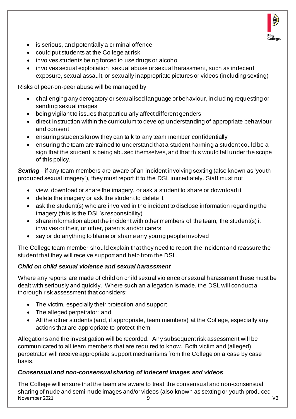

- is serious, and potentially a criminal offence
- could put students at the College at risk
- involves students being forced to use drugs or alcohol
- involves sexual exploitation, sexual abuse or sexual harassment, such as indecent exposure, sexual assault, or sexually inappropriate pictures or videos (including sexting)

Risks of peer-on-peer abuse will be managed by:

- challenging any derogatory or sexualised language or behaviour, in cluding requesting or sending sexual images
- being vigilant to issues that particularly affect different genders
- direct instruction within the curriculum to develop understanding of appropriate behaviour and consent
- ensuring students know they can talk to any team member confidentially
- ensuring the team are trained to understand that a student harming a student could be a sign that the student is being abused themselves, and that this would fall under the scope of this policy.

**Sexting** - if any team members are aware of an incident involving sexting (also known as 'youth produced sexual imagery'), they must report it to the DSL immediately. Staff must not

- view, download or share the imagery, or ask a student to share or download it
- delete the imagery or ask the student to delete it
- ask the student(s) who are involved in the incident to disclose information regarding the imagery (this is the DSL's responsibility)
- share information about the incident with other members of the team, the student(s) it involves or their, or other, parents and/or carers
- say or do anything to blame or shame any young people involved

The College team member should explain that they need to report the incident and reassure the student that they will receive support and help from the DSL.

# *Child on child sexual violence and sexual harassment*

Where any reports are made of child on child sexual violence or sexual harassment these must be dealt with seriously and quickly. Where such an allegation is made, the DSL will conduct a thorough risk assessment that considers:

- The victim, especially their protection and support
- The alleged perpetrator: and
- All the other students (and, if appropriate, team members) at the College, especially any actions that are appropriate to protect them.

Allegations and the investigation will be recorded. Any subsequent risk assessment will be communicated to all team members that are required to know. Both victim and (alleged) perpetrator will receive appropriate support mechanisms from the College on a case by case basis.

# *Consensual and non-consensual sharing of indecent images and videos*

November 2021 9 V2 The College will ensure that the team are aware to treat the consensual and non-consensual sharing of nude and semi-nude images and/or videos (also known as sexting or youth produced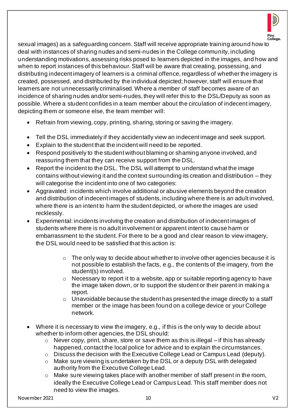

sexual images) as a safeguarding concern. Staff will receive appropriate training around how to deal with instances of sharing nudes and semi-nudes in the College community, including understanding motivations, assessing risks posed to learners depicted in the images, and how and when to report instances of this behaviour. Staff will be aware that creating, possessing, and distributing indecent imagery of learners is a criminal offence, regardless of whether the imagery is created, possessed, and distributed by the individual depicted; however, staff will ensure that learners are not unnecessarily criminalised. Where a member of staff becomes aware of an incidence of sharing nudes and/or semi-nudes, they will refer this to the DSL/Deputy as soon as possible. Where a student confides in a team member about the circulation of indecent imagery, depicting them or someone else, the team member will:

- Refrain from viewing, copy, printing, sharing, storing or saving the imagery.
- Tell the DSL immediately if they accidentally view an indecent image and seek support.
- Explain to the student that the incident will need to be reported.
- Respond positively to the student without blaming or shaming anyone involved, and reassuring them that they can receive support from the DSL.
- Report the incident to the DSL. The DSL will attempt to understand what the image contains without viewing it and the context surrounding its creation and distribution – they will categorise the incident into one of two categories:
- Aggravated: incidents which involve additional or abusive elements beyond the creation and distribution of indecent images of students, including where there is an adult involved, where there is an intent to harm the student depicted, or where the images are used recklessly.
- Experimental: incidents involving the creation and distribution of indecent images of students where there is no adult involvement or apparent intent to cause harm or embarrassment to the student. For there to be a good and clear reason to view imagery, the DSL would need to be satisfied that this action is:
	- $\circ$  The only way to decide about whether to involve other agencies because it is not possible to establish the facts, e.g., the contents of the imagery, from the student(s) involved.
	- o Necessary to report it to a website, app or suitable reporting agency to have the image taken down, or to support the student or their parent in making a report.
	- $\circ$  Unavoidable because the student has presented the image directly to a staff member or the image has been found on a college device or your College network.
- Where it is necessary to view the imagery, e.g., if this is the only way to decide about whether to inform other agencies, the DSL should:
	- o Never copy, print, share, store or save them as this is illegal if this has already happened, contact the local police for advice and to explain the circumstances.
	- o Discuss the decision with the Executive College Lead or Campus Lead (deputy).
	- o Make sure viewing is undertaken by the DSL or a deputy DSL with delegated authority from the Executive College Lead.
	- Make sure viewing takes place with another member of staff present in the room, ideally the Executive College Lead or Campus Lead. This staff member does not need to view the images.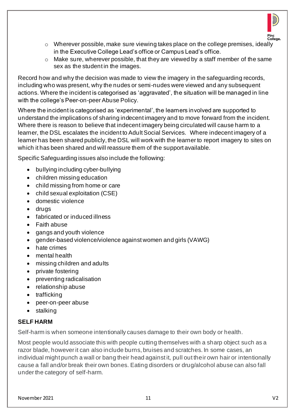

- o Wherever possible, make sure viewing takes place on the college premises, ideally in the Executive College Lead's office or Campus Lead's office.
- $\circ$  Make sure, wherever possible, that they are viewed by a staff member of the same sex as the student in the images.

Record how and why the decision was made to view the imagery in the safeguarding records, including who was present, why the nudes or semi-nudes were viewed and any subsequent actions. Where the incident is categorised as 'aggravated', the situation will be managed in line with the college's Peer-on-peer Abuse Policy.

Where the incident is categorised as 'experimental', the learners involved are supported to understand the implications of sharing indecent imagery and to move forward from the incident. Where there is reason to believe that indecent imagery being circulated will cause harm to a learner, the DSL escalates the incident to Adult Social Services. Where indecent imagery of a learner has been shared publicly, the DSL will work with the learner to report imagery to sites on which it has been shared and will reassure them of the support available.

Specific Safeguarding issues also include the following:

- bullying including cyber-bullying
- children missing education
- child missing from home or care
- child sexual exploitation (CSE)
- domestic violence
- drugs
- fabricated or induced illness
- Faith abuse
- gangs and youth violence
- gender-based violence/violence against women and girls (VAWG)
- hate crimes
- mental health
- missing children and adults
- private fostering
- preventing radicalisation
- relationship abuse
- trafficking
- peer-on-peer abuse
- stalking

# **SELF HARM**

Self-harm is when someone intentionally causes damage to their own body or health.

Most people would associate this with people cutting themselves with a sharp object such as a razor blade, however it can also include burns, bruises and scratches. In some cases, an individual might punch a wall or bang their head against it, pull out their own hair or intentionally cause a fall and/or break their own bones. Eating disorders or drug/alcohol abuse can also fall under the category of self-harm.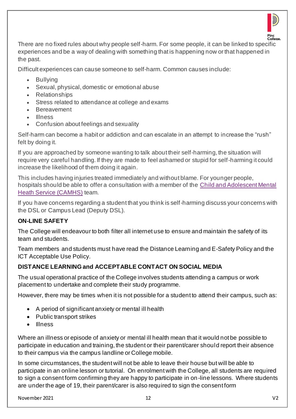

There are no fixed rules about why people self-harm. For some people, it can be linked to specific experiences and be a way of dealing with something that is happening now or that happened in the past.

Difficult experiences can cause someone to self-harm. Common causes include:

- **Bullying**
- Sexual, physical, domestic or emotional abuse
- Relationships
- Stress related to attendance at college and exams
- **Bereavement**
- Illness
- Confusion about feelings and sexuality

Self-harm can become a habit or addiction and can escalate in an attempt to increase the "rush" felt by doing it.

If you are approached by someone wanting to talk about their self-harming, the situation will require very careful handling. If they are made to feel ashamed or stupid for self-harming it could increase the likelihood of them doing it again.

This includes having injuries treated immediately and without blame. For younger people, hospitals should be able to offer a consultation with a member of the [Child and Adolescent Mental](http://www.youngminds.org.uk/for_parents/services_children_young_people/camhs/what_are_cahms)  [Heath Service \(CAMHS\)](http://www.youngminds.org.uk/for_parents/services_children_young_people/camhs/what_are_cahms) team.

If you have concerns regarding a student that you think is self-harming discuss your concerns with the DSL or Campus Lead (Deputy DSL).

# **ON-LINE SAFETY**

The College will endeavour to both filter all internet use to ensure and maintain the safety of its team and students.

Team members and students must have read the Distance Learning and E-Safety Policy and the ICT Acceptable Use Policy.

# **DISTANCE LEARNING and ACCEPTABLE CONTACT ON SOCIAL MEDIA**

The usual operational practice of the College involves students attending a campus or work placement to undertake and complete their study programme.

However, there may be times when it is not possible for a student to attend their campus, such as:

- A period of significant anxiety or mental ill health
- Public transport strikes
- Illness

Where an illness or episode of anxiety or mental ill health mean that it would not be possible to participate in education and training, the student or their parent/carer should report their absence to their campus via the campus landline or College mobile.

In some circumstances, the student will not be able to leave their house but will be able to participate in an online lesson or tutorial. On enrolment with the College, all students are required to sign a consent form confirming they are happy to participate in on -line lessons. Where students are under the age of 19, their parent/carer is also required to sign the consent form

November 2021 12 V2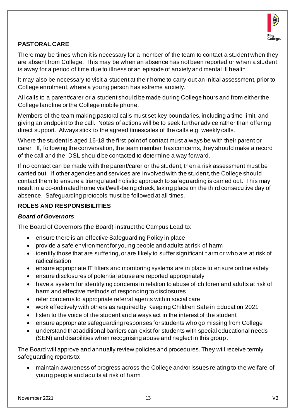

# **PASTORAL CARE**

There may be times when it is necessary for a member of the team to contact a student when they are absent from College. This may be when an absence has not been reported or when a student is away for a period of time due to illness or an episode of anxiety and mental ill health.

It may also be necessary to visit a student at their home to carry out an initial assessment, prior to College enrolment, where a young person has extreme anxiety.

All calls to a parent/carer or a student should be made during College hours and from either the College landline or the College mobile phone.

Members of the team making pastoral calls must set key boundaries, including a time limit, and giving an endpoint to the call. Notes of actions will be to seek further advice rather than offering direct support. Always stick to the agreed timescales of the calls e.g. weekly calls.

Where the student is aged 16-18 the first point of contact must always be with their parent or carer. If, following the conversation, the team member has concerns, they should make a record of the call and the DSL should be contacted to determine a way forward.

If no contact can be made with the parent/carer or the student, then a risk assessment must be carried out. If other agencies and services are involved with the studen t, the College should contact them to ensure a triangulated holistic approach to safeguarding is carried out. This may result in a co-ordinated home visit/well-being check, taking place on the third consecutive day of absence. Safeguarding protocols must be followed at all times.

# **ROLES AND RESPONSIBILITIES**

#### *Board of Governors*

The Board of Governors (the Board) instruct the Campus Lead to:

- ensure there is an effective Safeguarding Policy in place
- provide a safe environment for young people and adults at risk of harm
- identify those that are suffering, or are likely to suffer significant harm or who are at risk of radicalisation
- ensure appropriate IT filters and monitoring systems are in place to ensure online safety
- ensure disclosures of potential abuse are reported appropriately
- have a system for identifying concerns in relation to abuse of children and adults at risk of harm and effective methods of responding to disclosures
- refer concerns to appropriate referral agents within social care
- work effectively with others as required by Keeping Children Safe in Education 2021
- listen to the voice of the student and always act in the interest of the student
- ensure appropriate safeguarding responses for students who go missing from College
- understand that additional barriers can exist for students with special educational needs (SEN) and disabilities when recognising abuse and neglect in this group.

The Board will approve and annually review policies and procedures. They will receive termly safeguarding reports to:

• maintain awareness of progress across the College and/or issues relating to the welfare of young people and adults at risk of harm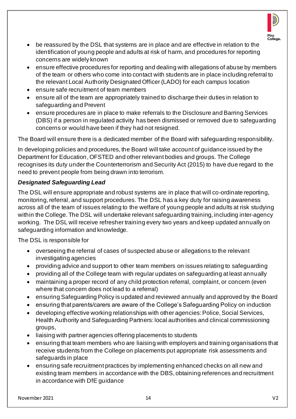

- be reassured by the DSL that systems are in place and are effective in relation to the identification of young people and adults at risk of harm, and procedures for reporting concerns are widely known
- ensure effective procedures for reporting and dealing with allegations of abuse by members of the team or others who come into contact with students are in place including referral to the relevant Local Authority Designated Officer (LADO) for each campus location
- ensure safe recruitment of team members
- ensure all of the team are appropriately trained to discharge their duties in relation to safeguarding and Prevent
- ensure procedures are in place to make referrals to the Disclosure and Barring Services (DBS) if a person in regulated activity has been dismissed or removed due to safeguarding concerns or would have been if they had not resigned.

The Board will ensure there is a dedicated member of the Board with safeguarding responsibility.

In developing policies and procedures, the Board will take account of guidance issued by the Department for Education, OFSTED and other relevant bodies and groups. The College recognises its duty under the Counterterrorism and Security Act (2015) to have due regard to the need to prevent people from being drawn into terrorism.

# *Designated Safeguarding Lead*

The DSL will ensure appropriate and robust systems are in place that will co-ordinate reporting, monitoring, referral, and support procedures. The DSL has a key duty for raising awareness across all of the team of issues relating to the welfare of young people and adults at risk studying within the College. The DSL will undertake relevant safeguarding training, including inter-agency working. The DSL will receive refresher training every two years and keep updated annually on safeguarding information and knowledge.

The DSL is responsible for

- overseeing the referral of cases of suspected abuse or allegations to the relevant investigating agencies
- providing advice and support to other team members on issues relating to safeguarding
- providing all of the College team with regular updates on safeguarding at least annually
- maintaining a proper record of any child protection referral, complaint, or concern (even where that concern does not lead to a referral)
- ensuring Safeguarding Policy is updated and reviewed annually and approved by the Board
- ensuring that parents/carers are aware of the College's Safeguarding Policy on induction
- developing effective working relationships with other agencies: Police, Social Services, Health Authority and Safeguarding Partners: local authorities and clinical commissioning groups,
- liaising with partner agencies offering placements to students
- ensuring that team members who are liaising with employers and training organisations that receive students from the College on placements put appropriate risk assessments and safeguards in place
- ensuring safe recruitment practices by implementing enhanced checks on all new and existing team members in accordance with the DBS, obtaining references and recruitment in accordance with DfE guidance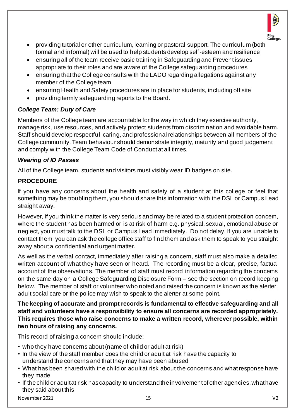

- providing tutorial or other curriculum, learning or pastoral support. The curriculum (both formal and informal) will be used to help students develop self-esteem and resilience
- ensuring all of the team receive basic training in Safeguarding and Prevent issues appropriate to their roles and are aware of the College safeguarding procedures
- ensuring that the College consults with the LADO regarding allegations against any member of the College team
- ensuring Health and Safety procedures are in place for students, including off site
- providing termly safeguarding reports to the Board.

# *College Team: Duty of Care*

Members of the College team are accountable for the way in which they exercise authority, manage risk, use resources, and actively protect students from discrimination and avoidable harm. Staff should develop respectful, caring, and professional relationships between all members of the College community. Team behaviour should demonstrate integrity, maturity and good judgement and comply with the College Team Code of Conduct at all times.

# *Wearing of ID Passes*

All of the College team, students and visitors must visibly wear ID badges on site.

# **PROCEDURE**

If you have any concerns about the health and safety of a student at this college or feel that something may be troubling them, you should share this information with the DSL or Campus Lead straight away.

However, if you think the matter is very serious and may be related to a student protection concem, where the student has been harmed or is at risk of harm e.g. physical, sexual, emotional abuse or neglect, you must talk to the DSL or Campus Lead immediately. Do not delay. If you are unable to contact them, you can ask the college office staff to find them and ask them to speak to you straight away about a confidential and urgent matter.

As well as the verbal contact, immediately after raising a concern, staff must also make a detailed written account of what they have seen or heard. The recording must be a clear, precise, factual account of the observations. The member of staff must record information regarding the concems on the same day on a College Safeguarding Disclosure Form – see the section on record keeping below. The member of staff or volunteer who noted and raised the concern is known as the alerter; adult social care or the police may wish to speak to the alerter at some point.

**The keeping of accurate and prompt records is fundamental to effective safeguarding and all staff and volunteers have a responsibility to ensure all concerns are recorded appropriately. This requires those who raise concerns to make a written record, wherever possible, within two hours of raising any concerns.** 

This record of raising a concern should include;

- who they have concerns about (name of child or adult at risk)
- In the view of the staff member does the child or adult at risk have the capacity to understand the concerns and that they may have been abused
- What has been shared with the child or adult at risk about the concerns and what response have they made
- If the child or adult at risk has capacity to understand the involvement of other agencies, what have they said about this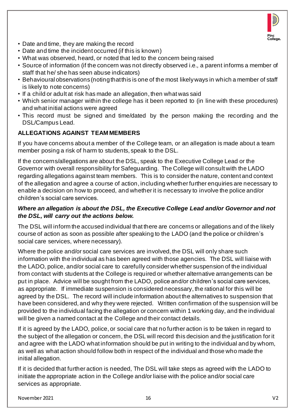

- Date and time, they are making the record
- Date and time the incident occurred (if this is known)
- What was observed, heard, or noted that led to the concern being raised
- Source of information (if the concern was not directly observed i.e., a parent informs a member of staff that he/ she has seen abuse indicators)
- Behavioural observations (noting that this is one of the most likely ways in which a member of staff is likely to note concerns)
- If a child or adult at risk has made an allegation, then what was said
- Which senior manager within the college has it been reported to (in line with these procedures) and what initial actions were agreed
- This record must be signed and time/dated by the person making the recording and the DSL/Campus Lead.

# **ALLEGATIONS AGAINST TEAM MEMBERS**

If you have concerns about a member of the College team, or an allegation is made about a team member posing a risk of harm to students, speak to the DSL.

If the concerns/allegations are about the DSL, speak to the Executive College Lead or the Governor with overall responsibility for Safeguarding. The College will consult with the LADO regarding allegations against team members. This is to consider the nature, content and context of the allegation and agree a course of action, including whether further enquiries are necessary to enable a decision on how to proceed, and whether it is necessary to involve the police and/or children's social care services.

#### *Where an allegation is about the DSL, the Executive College Lead and/or Governor and not the DSL, will carry out the actions below.*

The DSL will inform the accused individual that there are concerns or allegations and of the likely course of action as soon as possible after speaking to the LADO (and the police or children's social care services, where necessary).

Where the police and/or social care services are involved, the DSL will only share such information with the individual as has been agreed with those agencies. The DSL will liaise with the LADO, police, and/or social care to carefully consider whether suspension of the individual from contact with students at the College is required or whether alternative arrangements can be put in place. Advice will be sought from the LADO, police and/or children's social care services, as appropriate. If immediate suspension is considered necessary, the rational for this will be agreed by the DSL. The record will include information about the alternatives to suspension that have been considered, and why they were rejected. Written confirmation of the suspension will be provided to the individual facing the allegation or concern within 1 working day, and the individual will be given a named contact at the College and their contact details.

If it is agreed by the LADO, police, or social care that no further action is to be taken in regard to the subject of the allegation or concern, the DSL will record this decision and the justification for it and agree with the LADO what information should be put in writing to the individual and by whom, as well as what action should follow both in respect of the individual and those who made the initial allegation.

If it is decided that further action is needed, The DSL will take steps as agreed with the LADO to initiate the appropriate action in the College and/or liaise with the police and/or social care services as appropriate.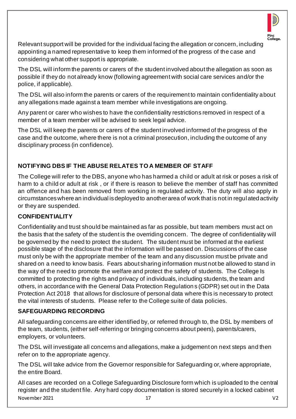

Relevant support will be provided for the individual facing the allegation or concern, including appointing a named representative to keep them informed of the progress of the case and considering what other support is appropriate.

The DSL will inform the parents or carers of the student involved about the allegation as soon as possible if they do not already know (following agreement with social care services and/or the police, if applicable).

The DSL will also inform the parents or carers of the requirement to maintain confidentiality about any allegations made against a team member while investigations are ongoing.

Any parent or carer who wishes to have the confidentiality restrictions removed in respect of a member of a team member will be advised to seek legal advice.

The DSL will keep the parents or carers of the student involved informed of the progress of the case and the outcome, where there is not a criminal prosecution, including the outcome of any disciplinary process (in confidence).

# **NOTIFYING DBS IF THE ABUSE RELATES TO A MEMBER OF STAFF**

The College will refer to the DBS, anyone who has harmed a child or adult at risk or poses a risk of harm to a child or adult at risk , or if there is reason to believe the member of staff has committed an offence and has been removed from working in regulated activity. The duty will also apply in circumstances where an individual is deployed to another area of work that is not in regulated activity or they are suspended.

# **CONFIDENTIALITY**

Confidentiality and trust should be maintained as far as possible, but team members must act on the basis that the safety of the student is the overriding concern. The degree of confidentiality will be governed by the need to protect the student. The student must be informed at the earliest possible stage of the disclosure that the information will be passed on. Discussions of the case must only be with the appropriate member of the team and any discussion must be private and shared on a need to know basis. Fears about sharing information must not be allowed to stand in the way of the need to promote the welfare and protect the safety of students. The College Is committed to protecting the rights and privacy of individuals, including students, the team and others, in accordance with the General Data Protection Regulations (GDPR) set out in the Data Protection Act 2018 that allows for disclosure of personal data where this is necessary to protect the vital interests of students. Please refer to the College suite of data policies.

# **SAFEGUARDING RECORDING**

All safeguarding concerns are either identified by, or referred through to, the DSL by members of the team, students, (either self-referring or bringing concerns about peers), parents/carers, employers, or volunteers.

The DSL will investigate all concerns and allegations, make a judgement on next steps and then refer on to the appropriate agency.

The DSL will take advice from the Governor responsible for Safeguarding or, where appropriate, the entire Board.

November 2021 17 V2 All cases are recorded on a College Safeguarding Disclosure form which is uploaded to the central register and the student file. Any hard copy documentation is stored securely in a locked cabinet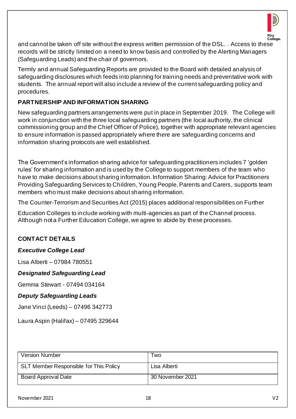

and cannot be taken off site without the express written permission of the DSL. . Access to these records will be strictly limited on a need to know basis and controlled by the Alerting Managers (Safeguarding Leads) and the chair of governors.

Termly and annual Safeguarding Reports are provided to the Board with detailed analysis of safeguarding disclosures which feeds into planning for training needs and preventative work with students. The annual report will also include a review of the current safeguarding policy and procedures.

# **PARTNERSHIP AND INFORMATION SHARING**

New safeguarding partners arrangements were put in place in September 2019. The College will work in conjunction with the three local safeguarding partners (the local authority, the clinical commissioning group and the Chief Officer of Police), together with appropriate relevant agencies to ensure information is passed appropriately where there are safeguarding concerns and information sharing protocols are well established.

The Government's information sharing advice for safeguarding practitioners includes 7 'golden rules' for sharing information and is used by the College to support members of the team who have to make decisions about sharing information. Information Sharing: Advice for Practitioners Providing Safeguarding Services to Children, Young People, Parents and Carers, supports team members who must make decisions about sharing information.

The Counter-Terrorism and Securities Act (2015) places additional responsibilities on Further

Education Colleges to include working with multi-agencies as part of the Channel process. Although not a Further Education College, we agree to abide by these processes.

# **CONTACT DETAILS**

#### *Executive College Lead*

Lisa Alberti – 07984 780551

#### *Designated Safeguarding Lead*

Gemma Stewart - 07494 034164

# *Deputy Safeguarding Leads*

Jane Vinci (Leeds) – 07496 342773

Laura Aspin (Halifax) – 07495 329644

| <b>Version Number</b>                  | Two              |
|----------------------------------------|------------------|
| SLT Member Responsible for This Policy | Lisa Alberti     |
| <b>Board Approval Date</b>             | 30 November 2021 |